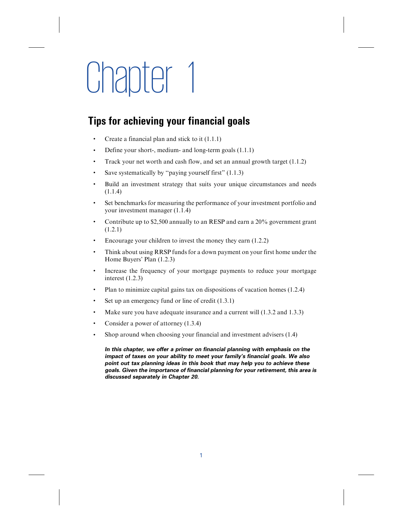# Chapter 1

# **Tips for achieving your financial goals**

- . Create a financial plan and stick to it (1.1.1)
- . Define your short-, medium- and long-term goals (1.1.1)
- . Track your net worth and cash flow, and set an annual growth target (1.1.2)
- Save systematically by "paying yourself first" (1.1.3)
- . Build an investment strategy that suits your unique circumstances and needs (1.1.4)
- . Set benchmarks for measuring the performance of your investment portfolio and your investment manager (1.1.4)
- . Contribute up to \$2,500 annually to an RESP and earn a 20% government grant (1.2.1)
- . Encourage your children to invest the money they earn (1.2.2)
- . Think about using RRSP funds for a down payment on your first home under the Home Buyers' Plan (1.2.3)
- . Increase the frequency of your mortgage payments to reduce your mortgage interest (1.2.3)
- . Plan to minimize capital gains tax on dispositions of vacation homes (1.2.4)
- Set up an emergency fund or line of credit  $(1.3.1)$
- Make sure you have adequate insurance and a current will  $(1.3.2 \text{ and } 1.3.3)$
- . Consider a power of attorney (1.3.4)
- . Shop around when choosing your financial and investment advisers (1.4)

In this chapter, we offer a primer on financial planning with emphasis on the impact of taxes on your ability to meet your family's financial goals. We also point out tax planning ideas in this book that may help you to achieve these goals. Given the importance of financial planning for your retirement, this area is **discussed separately in Chapter 20.**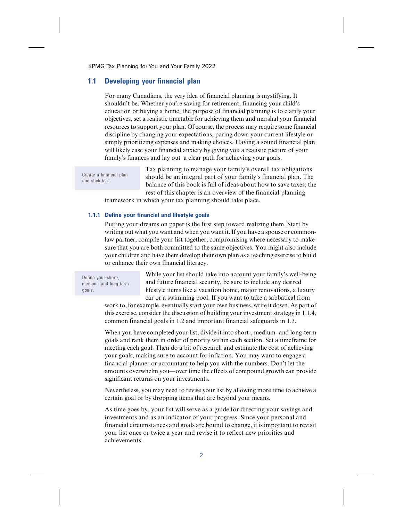# **1.1 Developing your financial plan**

For many Canadians, the very idea of financial planning is mystifying. It shouldn't be. Whether you're saving for retirement, financing your child's education or buying a home, the purpose of financial planning is to clarify your objectives, set a realistic timetable for achieving them and marshal your financial resources to support your plan. Of course, the process may require some financial discipline by changing your expectations, paring down your current lifestyle or simply prioritizing expenses and making choices. Having a sound financial plan will likely ease your financial anxiety by giving you a realistic picture of your family's finances and lay out a clear path for achieving your goals.

Create a financial plan and stick to it.

Tax planning to manage your family's overall tax obligations should be an integral part of your family's financial plan. The balance of this book is full of ideas about how to save taxes; the rest of this chapter is an overview of the financial planning

framework in which your tax planning should take place.

# **1.1.1 Define your financial and lifestyle goals**

Putting your dreams on paper is the first step toward realizing them. Start by writing out what you want and when you want it. If you have a spouse or commonlaw partner, compile your list together, compromising where necessary to make sure that you are both committed to the same objectives. You might also include your children and have them develop their own plan as a teaching exercise to build or enhance their own financial literacy.

Define your short-, medium- and long-term goals.

While your list should take into account your family's well-being and future financial security, be sure to include any desired lifestyle items like a vacation home, major renovations, a luxury car or a swimming pool. If you want to take a sabbatical from

work to, for example, eventually start your own business, write it down. As part of this exercise, consider the discussion of building your investment strategy in 1.1.4, common financial goals in 1.2 and important financial safeguards in 1.3.

When you have completed your list, divide it into short-, medium- and long-term goals and rank them in order of priority within each section. Set a timeframe for meeting each goal. Then do a bit of research and estimate the cost of achieving your goals, making sure to account for inflation. You may want to engage a financial planner or accountant to help you with the numbers. Don't let the amounts overwhelm you—over time the effects of compound growth can provide significant returns on your investments.

Nevertheless, you may need to revise your list by allowing more time to achieve a certain goal or by dropping items that are beyond your means.

As time goes by, your list will serve as a guide for directing your savings and investments and as an indicator of your progress. Since your personal and financial circumstances and goals are bound to change, it is important to revisit your list once or twice a year and revise it to reflect new priorities and achievements.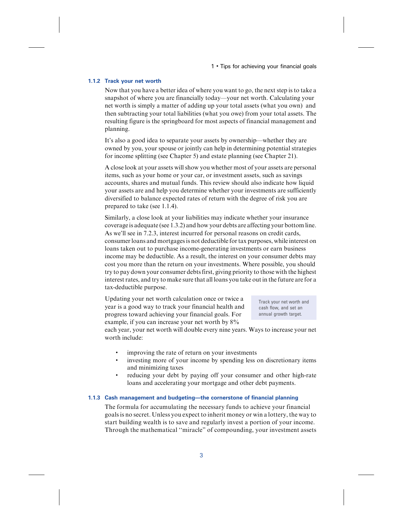#### 1 • Tips for achieving your financial goals

#### **1.1.2 Track your net worth**

Now that you have a better idea of where you want to go, the next step is to take a snapshot of where you are financially today—your net worth. Calculating your net worth is simply a matter of adding up your total assets (what you own) and then subtracting your total liabilities (what you owe) from your total assets. The resulting figure is the springboard for most aspects of financial management and planning.

It's also a good idea to separate your assets by ownership—whether they are owned by you, your spouse or jointly can help in determining potential strategies for income splitting (see Chapter 5) and estate planning (see Chapter 21).

A close look at your assets will show you whether most of your assets are personal items, such as your home or your car, or investment assets, such as savings accounts, shares and mutual funds. This review should also indicate how liquid your assets are and help you determine whether your investments are sufficiently diversified to balance expected rates of return with the degree of risk you are prepared to take (see 1.1.4).

Similarly, a close look at your liabilities may indicate whether your insurance coverage is adequate (see 1.3.2) and how your debts are affecting your bottom line. As we'll see in 7.2.3, interest incurred for personal reasons on credit cards, consumer loans and mortgages is not deductible for tax purposes, while interest on loans taken out to purchase income-generating investments or earn business income may be deductible. As a result, the interest on your consumer debts may cost you more than the return on your investments. Where possible, you should try to pay down your consumer debts first, giving priority to those with the highest interest rates, and try to make sure that all loans you take out in the future are for a tax-deductible purpose.

Updating your net worth calculation once or twice a year is a good way to track your financial health and progress toward achieving your financial goals. For example, if you can increase your net worth by  $8\%$ 

Track your net worth and cash flow, and set an annual growth target.

each year, your net worth will double every nine years. Ways to increase your net worth include:

- . improving the rate of return on your investments
- . investing more of your income by spending less on discretionary items and minimizing taxes
- . reducing your debt by paying off your consumer and other high-rate loans and accelerating your mortgage and other debt payments.

## **1.1.3 Cash management and budgeting—the cornerstone of financial planning**

The formula for accumulating the necessary funds to achieve your financial goals is no secret. Unless you expect to inherit money or win a lottery, the way to start building wealth is to save and regularly invest a portion of your income. Through the mathematical ''miracle" of compounding, your investment assets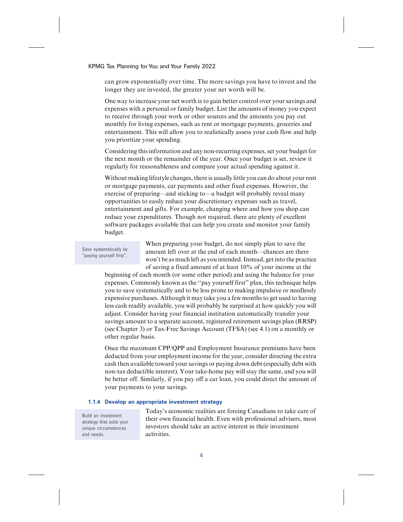can grow exponentially over time. The more savings you have to invest and the longer they are invested, the greater your net worth will be.

One way to increase your net worth is to gain better control over your savings and expenses with a personal or family budget. List the amounts of money you expect to receive through your work or other sources and the amounts you pay out monthly for living expenses, such as rent or mortgage payments, groceries and entertainment. This will allow you to realistically assess your cash flow and help you prioritize your spending.

Considering this information and any non-recurring expenses, set your budget for the next month or the remainder of the year. Once your budget is set, review it regularly for reasonableness and compare your actual spending against it.

Without making lifestyle changes, there is usually little you can do about your rent or mortgage payments, car payments and other fixed expenses. However, the exercise of preparing—and sticking to—a budget will probably reveal many opportunities to easily reduce your discretionary expenses such as travel, entertainment and gifts. For example, changing where and how you shop can reduce your expenditures. Though not required, there are plenty of excellent software packages available that can help you create and monitor your family budget.

Save systematically by ''paying yourself first".

When preparing your budget, do not simply plan to save the amount left over at the end of each month—chances are there won't be as much left as you intended. Instead, get into the practice of saving a fixed amount of at least 10% of your income at the

beginning of each month (or some other period) and using the balance for your expenses. Commonly known as the ''pay yourself first" plan, this technique helps you to save systematically and to be less prone to making impulsive or needlessly expensive purchases. Although it may take you a few months to get used to having less cash readily available, you will probably be surprised at how quickly you will adjust. Consider having your financial institution automatically transfer your savings amount to a separate account, registered retirement savings plan (RRSP) (see Chapter 3) or Tax-Free Savings Account (TFSA) (see 4.1) on a monthly or other regular basis.

Once the maximum CPP/QPP and Employment Insurance premiums have been deducted from your employment income for the year, consider directing the extra cash then available toward your savings or paying down debt (especially debt with non-tax deductible interest). Your take-home pay will stay the same, and you will be better off. Similarly, if you pay off a car loan, you could direct the amount of your payments to your savings.

#### **1.1.4 Develop an appropriate investment strategy**

Build an investment strategy that suits your unique circumstances and needs.

Today's economic realities are forcing Canadians to take care of their own financial health. Even with professional advisers, most investors should take an active interest in their investment activities.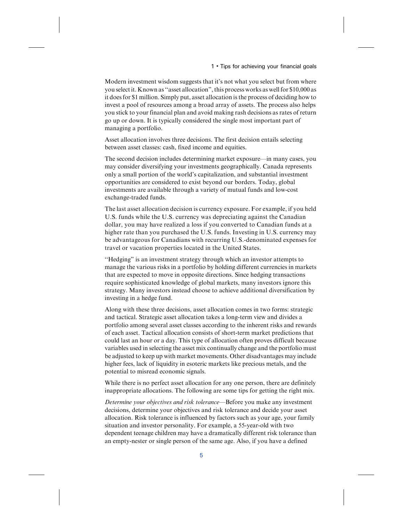#### 1 . Tips for achieving your financial goals

Modern investment wisdom suggests that it's not what you select but from where you select it. Known as ''asset allocation", this process works as well for \$10,000 as it does for \$1 million. Simply put, asset allocation is the process of deciding how to invest a pool of resources among a broad array of assets. The process also helps you stick to your financial plan and avoid making rash decisions as rates of return go up or down. It is typically considered the single most important part of managing a portfolio.

Asset allocation involves three decisions. The first decision entails selecting between asset classes: cash, fixed income and equities.

The second decision includes determining market exposure—in many cases, you may consider diversifying your investments geographically. Canada represents only a small portion of the world's capitalization, and substantial investment opportunities are considered to exist beyond our borders. Today, global investments are available through a variety of mutual funds and low-cost exchange-traded funds.

The last asset allocation decision is currency exposure. For example, if you held U.S. funds while the U.S. currency was depreciating against the Canadian dollar, you may have realized a loss if you converted to Canadian funds at a higher rate than you purchased the U.S. funds. Investing in U.S. currency may be advantageous for Canadians with recurring U.S.-denominated expenses for travel or vacation properties located in the United States.

''Hedging" is an investment strategy through which an investor attempts to manage the various risks in a portfolio by holding different currencies in markets that are expected to move in opposite directions. Since hedging transactions require sophisticated knowledge of global markets, many investors ignore this strategy. Many investors instead choose to achieve additional diversification by investing in a hedge fund.

Along with these three decisions, asset allocation comes in two forms: strategic and tactical. Strategic asset allocation takes a long-term view and divides a portfolio among several asset classes according to the inherent risks and rewards of each asset. Tactical allocation consists of short-term market predictions that could last an hour or a day. This type of allocation often proves difficult because variables used in selecting the asset mix continually change and the portfolio must be adjusted to keep up with market movements. Other disadvantages may include higher fees, lack of liquidity in esoteric markets like precious metals, and the potential to misread economic signals.

While there is no perfect asset allocation for any one person, there are definitely inappropriate allocations. The following are some tips for getting the right mix.

Determine your objectives and risk tolerance—Before you make any investment decisions, determine your objectives and risk tolerance and decide your asset allocation. Risk tolerance is influenced by factors such as your age, your family situation and investor personality. For example, a 55-year-old with two dependent teenage children may have a dramatically different risk tolerance than an empty-nester or single person of the same age. Also, if you have a defined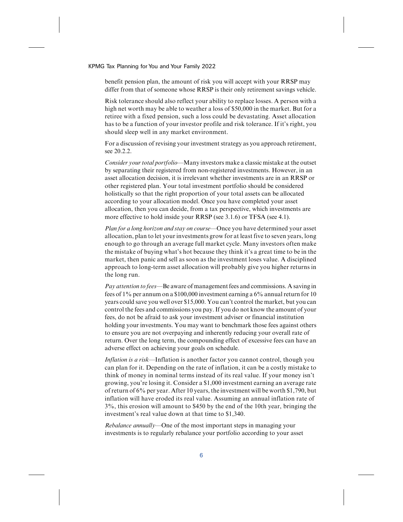benefit pension plan, the amount of risk you will accept with your RRSP may differ from that of someone whose RRSP is their only retirement savings vehicle.

Risk tolerance should also reflect your ability to replace losses. A person with a high net worth may be able to weather a loss of \$50,000 in the market. But for a retiree with a fixed pension, such a loss could be devastating. Asset allocation has to be a function of your investor profile and risk tolerance. If it's right, you should sleep well in any market environment.

For a discussion of revising your investment strategy as you approach retirement, see 20.2.2.

Consider your total portfolio—Many investors make a classic mistake at the outset by separating their registered from non-registered investments. However, in an asset allocation decision, it is irrelevant whether investments are in an RRSP or other registered plan. Your total investment portfolio should be considered holistically so that the right proportion of your total assets can be allocated according to your allocation model. Once you have completed your asset allocation, then you can decide, from a tax perspective, which investments are more effective to hold inside your RRSP (see 3.1.6) or TFSA (see 4.1).

Plan for a long horizon and stay on course—Once you have determined your asset allocation, plan to let your investments grow for at least five to seven years, long enough to go through an average full market cycle. Many investors often make the mistake of buying what's hot because they think it's a great time to be in the market, then panic and sell as soon as the investment loses value. A disciplined approach to long-term asset allocation will probably give you higher returns in the long run.

Pay attention to fees—Be aware of management fees and commissions. A saving in fees of 1% per annum on a \$100,000 investment earning a 6% annual return for 10 years could save you well over \$15,000. You can't control the market, but you can control the fees and commissions you pay. If you do not know the amount of your fees, do not be afraid to ask your investment adviser or financial institution holding your investments. You may want to benchmark those fees against others to ensure you are not overpaying and inherently reducing your overall rate of return. Over the long term, the compounding effect of excessive fees can have an adverse effect on achieving your goals on schedule.

Inflation is a risk—Inflation is another factor you cannot control, though you can plan for it. Depending on the rate of inflation, it can be a costly mistake to think of money in nominal terms instead of its real value. If your money isn't growing, you're losing it. Consider a \$1,000 investment earning an average rate of return of 6% per year. After 10 years, the investment will be worth \$1,790, but inflation will have eroded its real value. Assuming an annual inflation rate of 3%, this erosion will amount to \$450 by the end of the 10th year, bringing the investment's real value down at that time to \$1,340.

Rebalance annually—One of the most important steps in managing your investments is to regularly rebalance your portfolio according to your asset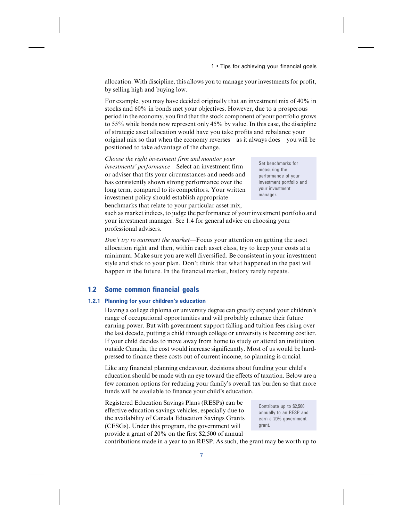# 1 . Tips for achieving your financial goals

allocation. With discipline, this allows you to manage your investments for profit, by selling high and buying low.

For example, you may have decided originally that an investment mix of 40% in stocks and 60% in bonds met your objectives. However, due to a prosperous period in the economy, you find that the stock component of your portfolio grows to 55% while bonds now represent only 45% by value. In this case, the discipline of strategic asset allocation would have you take profits and rebalance your original mix so that when the economy reverses—as it always does—you will be positioned to take advantage of the change.

Choose the right investment firm and monitor your investments' performance—Select an investment firm or adviser that fits your circumstances and needs and has consistently shown strong performance over the long term, compared to its competitors. Your written investment policy should establish appropriate benchmarks that relate to your particular asset mix,

Set benchmarks for measuring the performance of your investment portfolio and your investment manager.

such as market indices, to judge the performance of your investment portfolio and your investment manager. See 1.4 for general advice on choosing your professional advisers.

Don't try to outsmart the market—Focus your attention on getting the asset allocation right and then, within each asset class, try to keep your costs at a minimum. Make sure you are well diversified. Be consistent in your investment style and stick to your plan. Don't think that what happened in the past will happen in the future. In the financial market, history rarely repeats.

# **1.2 Some common financial goals**

#### **1.2.1 Planning for your children's education**

Having a college diploma or university degree can greatly expand your children's range of occupational opportunities and will probably enhance their future earning power. But with government support falling and tuition fees rising over the last decade, putting a child through college or university is becoming costlier. If your child decides to move away from home to study or attend an institution outside Canada, the cost would increase significantly. Most of us would be hardpressed to finance these costs out of current income, so planning is crucial.

Like any financial planning endeavour, decisions about funding your child's education should be made with an eye toward the effects of taxation. Below are a few common options for reducing your family's overall tax burden so that more funds will be available to finance your child's education.

Registered Education Savings Plans (RESPs) can be effective education savings vehicles, especially due to the availability of Canada Education Savings Grants (CESGs). Under this program, the government will provide a grant of 20% on the first \$2,500 of annual

Contribute up to \$2,500 annually to an RESP and earn a 20% government grant.

contributions made in a year to an RESP. As such, the grant may be worth up to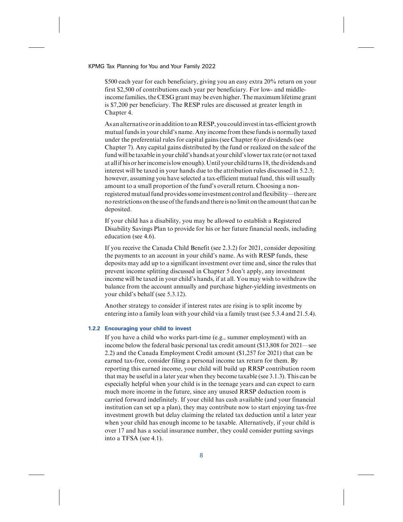\$500 each year for each beneficiary, giving you an easy extra 20% return on your first \$2,500 of contributions each year per beneficiary. For low- and middleincome families, the CESG grant may be even higher. The maximum lifetime grant is \$7,200 per beneficiary. The RESP rules are discussed at greater length in Chapter 4.

As an alternative orin addition to anRESP, you couldinvestin tax-efficient growth mutual funds in your child's name. Any income from these funds is normally taxed under the preferential rules for capital gains (see Chapter 6) or dividends (see Chapter 7). Any capital gains distributed by the fund or realized on the sale of the fund will be taxable in your child's hands at your child's lower tax rate (or not taxed at allif his or herincomeislow enough).Until your child turns 18, the dividends and interest will be taxed in your hands due to the attribution rules discussed in 5.2.3; however, assuming you have selected a tax-efficient mutual fund, this will usually amount to a small proportion of the fund's overall return. Choosing a nonregistered mutual fund provides someinvestment control and flexibility—there are no restrictions on the use of the funds and there is no limit on the amount that can be deposited.

If your child has a disability, you may be allowed to establish a Registered Disability Savings Plan to provide for his or her future financial needs, including education (see 4.6).

If you receive the Canada Child Benefit (see 2.3.2) for 2021, consider depositing the payments to an account in your child's name. As with RESP funds, these deposits may add up to a significant investment over time and, since the rules that prevent income splitting discussed in Chapter 5 don't apply, any investment income will be taxed in your child's hands, if at all. You may wish to withdraw the balance from the account annually and purchase higher-yielding investments on your child's behalf (see 5.3.12).

Another strategy to consider if interest rates are rising is to split income by entering into a family loan with your child via a family trust (see 5.3.4 and 21.5.4).

#### **1.2.2 Encouraging your child to invest**

If you have a child who works part-time (e.g., summer employment) with an income below the federal basic personal tax credit amount (\$13,808 for 2021—see 2.2) and the Canada Employment Credit amount (\$1,257 for 2021) that can be earned tax-free, consider filing a personal income tax return for them. By reporting this earned income, your child will build up RRSP contribution room that may be useful in a later year when they become taxable (see 3.1.3). This can be especially helpful when your child is in the teenage years and can expect to earn much more income in the future, since any unused RRSP deduction room is carried forward indefinitely. If your child has cash available (and your financial institution can set up a plan), they may contribute now to start enjoying tax-free investment growth but delay claiming the related tax deduction until a later year when your child has enough income to be taxable. Alternatively, if your child is over 17 and has a social insurance number, they could consider putting savings into a TFSA (see 4.1).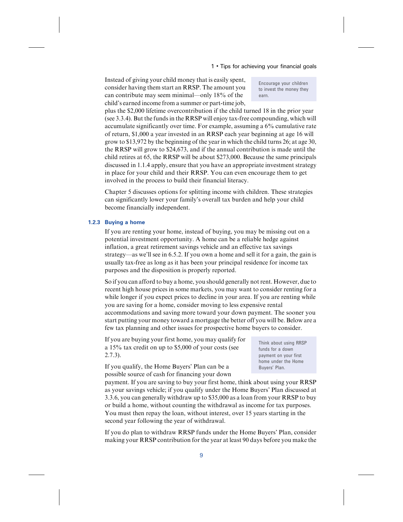#### 1 . Tips for achieving your financial goals

Instead of giving your child money that is easily spent, consider having them start an RRSP. The amount you can contribute may seem minimal—only 18% of the child's earned income from a summer or part-time job,

Encourage your children to invest the money they earn.

plus the \$2,000 lifetime overcontribution if the child turned 18 in the prior year (see 3.3.4). But the funds in the RRSP will enjoy tax-free compounding, which will accumulate significantly over time. For example, assuming a 6% cumulative rate of return, \$1,000 a year invested in an RRSP each year beginning at age 16 will grow to \$13,972 by the beginning of the year in which the child turns 26; at age 30, the RRSP will grow to \$24,673, and if the annual contribution is made until the child retires at 65, the RRSP will be about \$273,000. Because the same principals discussed in 1.1.4 apply, ensure that you have an appropriate investment strategy in place for your child and their RRSP. You can even encourage them to get involved in the process to build their financial literacy.

Chapter 5 discusses options for splitting income with children. These strategies can significantly lower your family's overall tax burden and help your child become financially independent.

#### **1.2.3 Buying a home**

If you are renting your home, instead of buying, you may be missing out on a potential investment opportunity. A home can be a reliable hedge against inflation, a great retirement savings vehicle and an effective tax savings strategy—as we'll see in 6.5.2. If you own a home and sell it for a gain, the gain is usually tax-free as long as it has been your principal residence for income tax purposes and the disposition is properly reported.

So if you can afford to buy a home, you should generally not rent. However, due to recent high house prices in some markets, you may want to consider renting for a while longer if you expect prices to decline in your area. If you are renting while you are saving for a home, consider moving to less expensive rental accommodations and saving more toward your down payment. The sooner you start putting your money toward a mortgage the better off you will be. Below are a few tax planning and other issues for prospective home buyers to consider.

If you are buying your first home, you may qualify for a 15% tax credit on up to \$5,000 of your costs (see 2.7.3).

Think about using RRSP funds for a down payment on your first home under the Home Buyers' Plan.

If you qualify, the Home Buyers' Plan can be a possible source of cash for financing your down

payment. If you are saving to buy your first home, think about using your RRSP as your savings vehicle; if you qualify under the Home Buyers' Plan discussed at 3.3.6, you can generally withdraw up to \$35,000 as a loan from your RRSP to buy or build a home, without counting the withdrawal as income for tax purposes. You must then repay the loan, without interest, over 15 years starting in the second year following the year of withdrawal.

If you do plan to withdraw RRSP funds under the Home Buyers' Plan, consider making your RRSP contribution for the year at least 90 days before you make the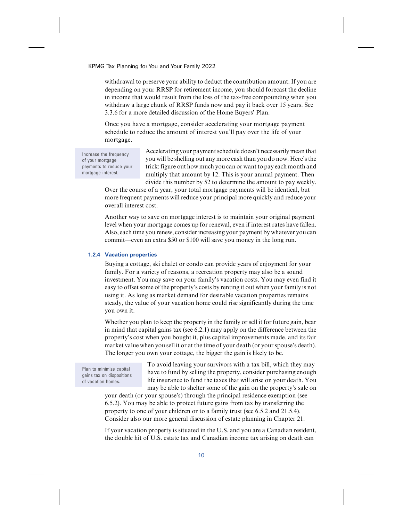withdrawal to preserve your ability to deduct the contribution amount. If you are depending on your RRSP for retirement income, you should forecast the decline in income that would result from the loss of the tax-free compounding when you withdraw a large chunk of RRSP funds now and pay it back over 15 years. See 3.3.6 for a more detailed discussion of the Home Buyers' Plan.

Once you have a mortgage, consider accelerating your mortgage payment schedule to reduce the amount of interest you'll pay over the life of your mortgage.

Increase the frequency of your mortgage payments to reduce your mortgage interest.

Accelerating your payment schedule doesn't necessarily mean that you will be shelling out any more cash than you do now. Here's the trick: figure out how much you can or want to pay each month and multiply that amount by 12. This is your annual payment. Then divide this number by 52 to determine the amount to pay weekly.

Over the course of a year, your total mortgage payments will be identical, but more frequent payments will reduce your principal more quickly and reduce your overall interest cost.

Another way to save on mortgage interest is to maintain your original payment level when your mortgage comes up for renewal, even if interest rates have fallen. Also, each time you renew, consider increasing your payment by whatever you can commit—even an extra \$50 or \$100 will save you money in the long run.

# **1.2.4 Vacation properties**

Buying a cottage, ski chalet or condo can provide years of enjoyment for your family. For a variety of reasons, a recreation property may also be a sound investment. You may save on your family's vacation costs. You may even find it easy to offset some of the property's costs by renting it out when your family is not using it. As long as market demand for desirable vacation properties remains steady, the value of your vacation home could rise significantly during the time you own it.

Whether you plan to keep the property in the family or sell it for future gain, bear in mind that capital gains tax (see 6.2.1) may apply on the difference between the property's cost when you bought it, plus capital improvements made, and its fair market value when you sell it or at the time of your death (or your spouse's death). The longer you own your cottage, the bigger the gain is likely to be.

Plan to minimize capital gains tax on dispositions of vacation homes.

To avoid leaving your survivors with a tax bill, which they may have to fund by selling the property, consider purchasing enough life insurance to fund the taxes that will arise on your death. You may be able to shelter some of the gain on the property's sale on

your death (or your spouse's) through the principal residence exemption (see 6.5.2). You may be able to protect future gains from tax by transferring the property to one of your children or to a family trust (see 6.5.2 and 21.5.4). Consider also our more general discussion of estate planning in Chapter 21.

If your vacation property is situated in the U.S. and you are a Canadian resident, the double hit of U.S. estate tax and Canadian income tax arising on death can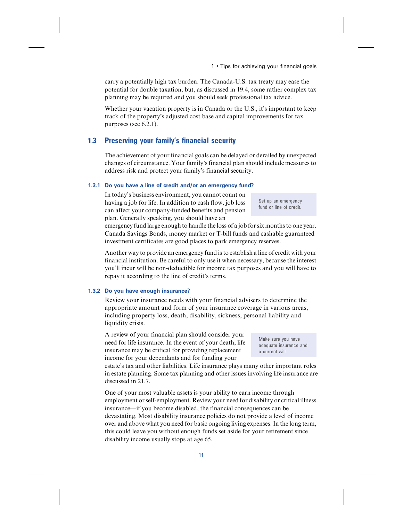#### 1 • Tips for achieving your financial goals

carry a potentially high tax burden. The Canada-U.S. tax treaty may ease the potential for double taxation, but, as discussed in 19.4, some rather complex tax planning may be required and you should seek professional tax advice.

Whether your vacation property is in Canada or the U.S., it's important to keep track of the property's adjusted cost base and capital improvements for tax purposes (see 6.2.1).

# **1.3 Preserving your family's financial security**

The achievement of your financial goals can be delayed or derailed by unexpected changes of circumstance. Your family's financial plan should include measures to address risk and protect your family's financial security.

# **1.3.1 Do you have a line of credit and/or an emergency fund?**

In today's business environment, you cannot count on having a job for life. In addition to cash flow, job loss can affect your company-funded benefits and pension plan. Generally speaking, you should have an

Set up an emergency fund or line of credit.

emergency fund large enough to handle the loss of a job for six months to one year. Canada Savings Bonds, money market or T-bill funds and cashable guaranteed investment certificates are good places to park emergency reserves.

Another way to provide an emergency fund is to establish a line of credit with your financial institution. Be careful to only use it when necessary, because the interest you'll incur will be non-deductible for income tax purposes and you will have to repay it according to the line of credit's terms.

# **1.3.2 Do you have enough insurance?**

Review your insurance needs with your financial advisers to determine the appropriate amount and form of your insurance coverage in various areas, including property loss, death, disability, sickness, personal liability and liquidity crisis.

A review of your financial plan should consider your need for life insurance. In the event of your death, life insurance may be critical for providing replacement income for your dependants and for funding your

Make sure you have adequate insurance and a current will.

estate's tax and other liabilities. Life insurance plays many other important roles in estate planning. Some tax planning and other issues involving life insurance are discussed in 21.7.

One of your most valuable assets is your ability to earn income through employment orself-employment. Review your need for disability or critical illness insurance—if you become disabled, the financial consequences can be devastating. Most disability insurance policies do not provide a level of income over and above what you need for basic ongoing living expenses.In the long term, this could leave you without enough funds set aside for your retirement since disability income usually stops at age 65.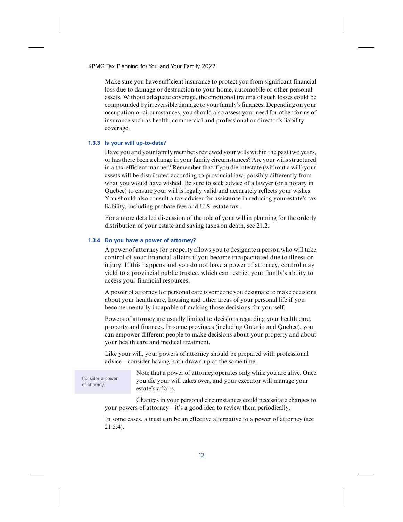Make sure you have sufficient insurance to protect you from significant financial loss due to damage or destruction to your home, automobile or other personal assets. Without adequate coverage, the emotional trauma of such losses could be compounded by irreversible damage to your family's finances. Depending on your occupation or circumstances, you should also assess your need for other forms of insurance such as health, commercial and professional or director's liability coverage.

# **1.3.3 Is your will up-to-date?**

Have you and your family members reviewed your wills within the past two years, or has there been a change in your family circumstances? Are your wills structured in a tax-efficient manner? Remember that if you die intestate (without a will) your assets will be distributed according to provincial law, possibly differently from what you would have wished. Be sure to seek advice of a lawyer (or a notary in Quebec) to ensure your will is legally valid and accurately reflects your wishes. You should also consult a tax adviser for assistance in reducing your estate's tax liability, including probate fees and U.S. estate tax.

For a more detailed discussion of the role of your will in planning for the orderly distribution of your estate and saving taxes on death, see 21.2.

# **1.3.4 Do you have a power of attorney?**

A power of attorney for property allows you to designate a person who will take control of your financial affairs if you become incapacitated due to illness or injury. If this happens and you do not have a power of attorney, control may yield to a provincial public trustee, which can restrict your family's ability to access your financial resources.

A power of attorney for personal care is someone you designate to make decisions about your health care, housing and other areas of your personal life if you become mentally incapable of making those decisions for yourself.

Powers of attorney are usually limited to decisions regarding your health care, property and finances. In some provinces (including Ontario and Quebec), you can empower different people to make decisions about your property and about your health care and medical treatment.

Like your will, your powers of attorney should be prepared with professional advice—consider having both drawn up at the same time.

Consider a power of attorney.

Note that a power of attorney operates only while you are alive. Once you die your will takes over, and your executor will manage your estate's affairs.

Changes in your personal circumstances could necessitate changes to your powers of attorney—it's a good idea to review them periodically.

In some cases, a trust can be an effective alternative to a power of attorney (see 21.5.4).